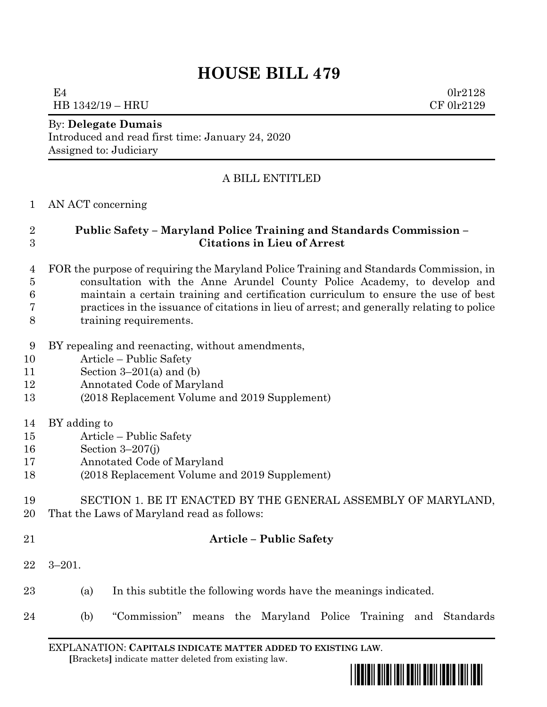# **HOUSE BILL 479**

 $E4$  0lr2128 HB 1342/19 – HRU CF 0lr2129

#### By: **Delegate Dumais**

Introduced and read first time: January 24, 2020 Assigned to: Judiciary

### A BILL ENTITLED

#### AN ACT concerning

## **Public Safety – Maryland Police Training and Standards Commission – Citations in Lieu of Arrest**

 FOR the purpose of requiring the Maryland Police Training and Standards Commission, in consultation with the Anne Arundel County Police Academy, to develop and maintain a certain training and certification curriculum to ensure the use of best practices in the issuance of citations in lieu of arrest; and generally relating to police training requirements.

- BY repealing and reenacting, without amendments,
- Article Public Safety
- 11 Section  $3-201(a)$  and (b)
- Annotated Code of Maryland
- (2018 Replacement Volume and 2019 Supplement)
- BY adding to
- Article Public Safety
- Section 3–207(j)
- Annotated Code of Maryland
- (2018 Replacement Volume and 2019 Supplement)
- SECTION 1. BE IT ENACTED BY THE GENERAL ASSEMBLY OF MARYLAND, That the Laws of Maryland read as follows:
- 

## **Article – Public Safety**

- 3–201.
- (a) In this subtitle the following words have the meanings indicated.
- (b) "Commission" means the Maryland Police Training and Standards

EXPLANATION: **CAPITALS INDICATE MATTER ADDED TO EXISTING LAW**.  **[**Brackets**]** indicate matter deleted from existing law.